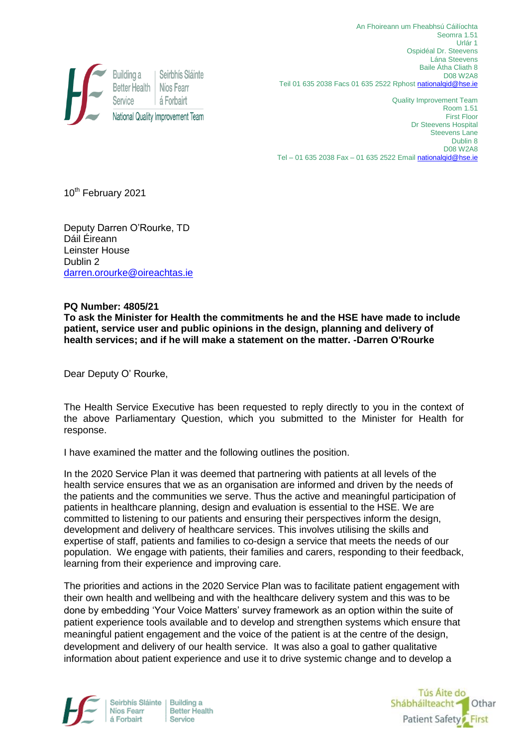

An Fhoireann um Fheabhsú Cáilíochta Seomra 1.51 Urlár 1 Ospidéal Dr. Steevens Lána Steevens Baile Átha Cliath 8 D08 W2A8 Teil 01 635 2038 Facs 01 635 2522 Rphos[t nationalqid@hse.ie](mailto:nationalqid@hse.ie)

Quality Improvement Team Room 1.51 First Floor Dr Steevens Hospital Steevens Lane Dublin 8 D08 W2A8 Tel – 01 635 2038 Fax – 01 635 2522 Email nationalgid@hse.ie

10<sup>th</sup> February 2021

Deputy Darren O'Rourke, TD Dáil Éireann Leinster House Dublin 2 [darren.orourke@oireachtas.ie](mailto:darren.orourke@oireachtas.ie)

## **PQ Number: 4805/21**

**To ask the Minister for Health the commitments he and the HSE have made to include patient, service user and public opinions in the design, planning and delivery of health services; and if he will make a statement on the matter. -Darren O'Rourke**

Dear Deputy O' Rourke,

The Health Service Executive has been requested to reply directly to you in the context of the above Parliamentary Question, which you submitted to the Minister for Health for response.

I have examined the matter and the following outlines the position.

In the 2020 Service Plan it was deemed that partnering with patients at all levels of the health service ensures that we as an organisation are informed and driven by the needs of the patients and the communities we serve. Thus the active and meaningful participation of patients in healthcare planning, design and evaluation is essential to the HSE. We are committed to listening to our patients and ensuring their perspectives inform the design, development and delivery of healthcare services. This involves utilising the skills and expertise of staff, patients and families to co-design a service that meets the needs of our population. We engage with patients, their families and carers, responding to their feedback, learning from their experience and improving care.

The priorities and actions in the 2020 Service Plan was to facilitate patient engagement with their own health and wellbeing and with the healthcare delivery system and this was to be done by embedding 'Your Voice Matters' survey framework as an option within the suite of patient experience tools available and to develop and strengthen systems which ensure that meaningful patient engagement and the voice of the patient is at the centre of the design, development and delivery of our health service. It was also a goal to gather qualitative information about patient experience and use it to drive systemic change and to develop a